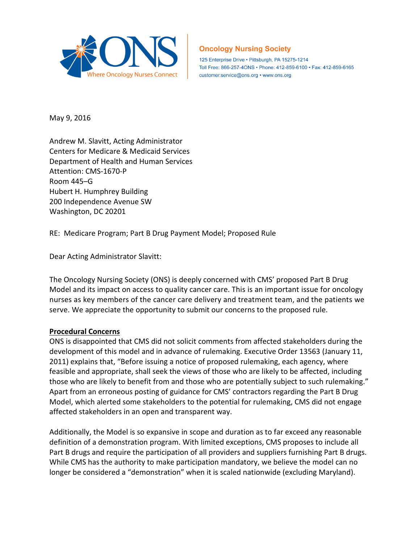

# **Oncology Nursing Society**

125 Enterprise Drive · Pittsburgh, PA 15275-1214 Toll Free: 866-257-4ONS · Phone: 412-859-6100 · Fax: 412-859-6165 customer.service@ons.org • www.ons.org

May 9, 2016

Andrew M. Slavitt, Acting Administrator Centers for Medicare & Medicaid Services Department of Health and Human Services Attention: CMS-1670-P Room 445–G Hubert H. Humphrey Building 200 Independence Avenue SW Washington, DC 20201

RE: Medicare Program; Part B Drug Payment Model; Proposed Rule

Dear Acting Administrator Slavitt:

The Oncology Nursing Society (ONS) is deeply concerned with CMS' proposed Part B Drug Model and its impact on access to quality cancer care. This is an important issue for oncology nurses as key members of the cancer care delivery and treatment team, and the patients we serve. We appreciate the opportunity to submit our concerns to the proposed rule.

#### **Procedural Concerns**

ONS is disappointed that CMS did not solicit comments from affected stakeholders during the development of this model and in advance of rulemaking. Executive Order 13563 (January 11, 2011) explains that, "Before issuing a notice of proposed rulemaking, each agency, where feasible and appropriate, shall seek the views of those who are likely to be affected, including those who are likely to benefit from and those who are potentially subject to such rulemaking." Apart from an erroneous posting of guidance for CMS' contractors regarding the Part B Drug Model, which alerted some stakeholders to the potential for rulemaking, CMS did not engage affected stakeholders in an open and transparent way.

Additionally, the Model is so expansive in scope and duration as to far exceed any reasonable definition of a demonstration program. With limited exceptions, CMS proposes to include all Part B drugs and require the participation of all providers and suppliers furnishing Part B drugs. While CMS has the authority to make participation mandatory, we believe the model can no longer be considered a "demonstration" when it is scaled nationwide (excluding Maryland).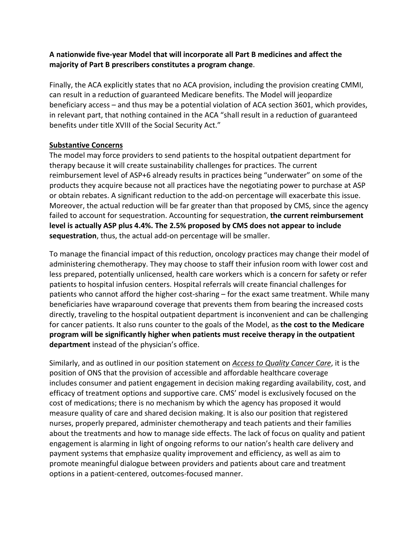## **A nationwide five-year Model that will incorporate all Part B medicines and affect the majority of Part B prescribers constitutes a program change**.

Finally, the ACA explicitly states that no ACA provision, including the provision creating CMMI, can result in a reduction of guaranteed Medicare benefits. The Model will jeopardize beneficiary access – and thus may be a potential violation of ACA section 3601, which provides, in relevant part, that nothing contained in the ACA "shall result in a reduction of guaranteed benefits under title XVIII of the Social Security Act."

### **Substantive Concerns**

The model may force providers to send patients to the hospital outpatient department for therapy because it will create sustainability challenges for practices. The current reimbursement level of ASP+6 already results in practices being "underwater" on some of the products they acquire because not all practices have the negotiating power to purchase at ASP or obtain rebates. A significant reduction to the add-on percentage will exacerbate this issue. Moreover, the actual reduction will be far greater than that proposed by CMS, since the agency failed to account for sequestration. Accounting for sequestration, **the current reimbursement level is actually ASP plus 4.4%. The 2.5% proposed by CMS does not appear to include sequestration**, thus, the actual add-on percentage will be smaller.

To manage the financial impact of this reduction, oncology practices may change their model of administering chemotherapy. They may choose to staff their infusion room with lower cost and less prepared, potentially unlicensed, health care workers which is a concern for safety or refer patients to hospital infusion centers. Hospital referrals will create financial challenges for patients who cannot afford the higher cost-sharing – for the exact same treatment. While many beneficiaries have wraparound coverage that prevents them from bearing the increased costs directly, traveling to the hospital outpatient department is inconvenient and can be challenging for cancer patients. It also runs counter to the goals of the Model, as **the cost to the Medicare program will be significantly higher when patients must receive therapy in the outpatient department** instead of the physician's office.

Similarly, and as outlined in our position statement on *Access to [Quality](https://www.ons.org/advocacy-policy/positions/policy/access) Cancer Care*, it is the position of ONS that the provision of accessible and affordable healthcare coverage includes consumer and patient engagement in decision making regarding availability, cost, and efficacy of treatment options and supportive care. CMS' model is exclusively focused on the cost of medications; there is no mechanism by which the agency has proposed it would measure quality of care and shared decision making. It is also our position that registered nurses, properly prepared, administer chemotherapy and teach patients and their families about the treatments and how to manage side effects. The lack of focus on quality and patient engagement is alarming in light of ongoing reforms to our nation's health care delivery and payment systems that emphasize quality improvement and efficiency, as well as aim to promote meaningful dialogue between providers and patients about care and treatment options in a patient-centered, outcomes-focused manner.